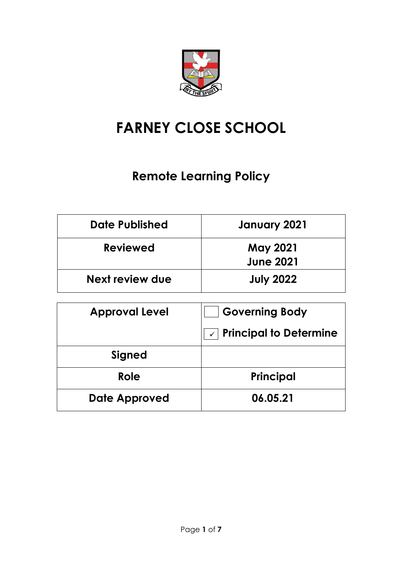

# **FARNEY CLOSE SCHOOL**

# **Remote Learning Policy**

| Date Published  | January 2021                        |
|-----------------|-------------------------------------|
| <b>Reviewed</b> | <b>May 2021</b><br><b>June 2021</b> |
| Next review due | <b>July 2022</b>                    |

| <b>Approval Level</b> | <b>Governing Body</b>         |
|-----------------------|-------------------------------|
|                       | <b>Principal to Determine</b> |
| Signed                |                               |
| Role                  | Principal                     |
| Date Approved         | 06.05.21                      |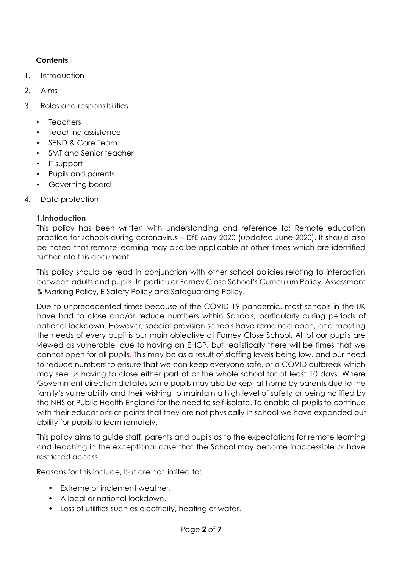## **Contents**

- 1. Introduction
- 2. Aims
- 3. Roles and responsibilities
	- **Teachers**
	- Teaching assistance
	- SEND & Care Team
	- SMT and Senior teacher
	- IT support
	- Pupils and parents
	- Governing board
- 4. Data protection

#### **1.Introduction**

This policy has been written with understanding and reference to: Remote education practice for schools during coronavirus – DfE May 2020 (updated June 2020). It should also be noted that remote learning may also be applicable at other times which are identified further into this document.

This policy should be read in conjunction with other school policies relating to interaction between adults and pupils. In particular Farney Close School's Curriculum Policy, Assessment & Marking Policy, E Safety Policy and Safeguarding Policy.

Due to unprecedented times because of the COVID-19 pandemic, most schools in the UK have had to close and/or reduce numbers within Schools; particularly during periods of national lockdown. However, special provision schools have remained open, and meeting the needs of every pupil is our main objective at Farney Close School. All of our pupils are viewed as vulnerable, due to having an EHCP, but realistically there will be times that we cannot open for all pupils. This may be as a result of staffing levels being low, and our need to reduce numbers to ensure that we can keep everyone safe, or a COVID outbreak which may see us having to close either part of or the whole school for at least 10 days. Where Government direction dictates some pupils may also be kept at home by parents due to the family's vulnerability and their wishing to maintain a high level of safety or being notified by the NHS or Public Health England for the need to self-isolate. To enable all pupils to continue with their educations at points that they are not physically in school we have expanded our ability for pupils to learn remotely.

This policy aims to guide staff, parents and pupils as to the expectations for remote learning and teaching in the exceptional case that the School may become inaccessible or have restricted access.

Reasons for this include, but are not limited to:

- Extreme or inclement weather.
- A local or national lockdown.
- Loss of utilities such as electricity, heating or water.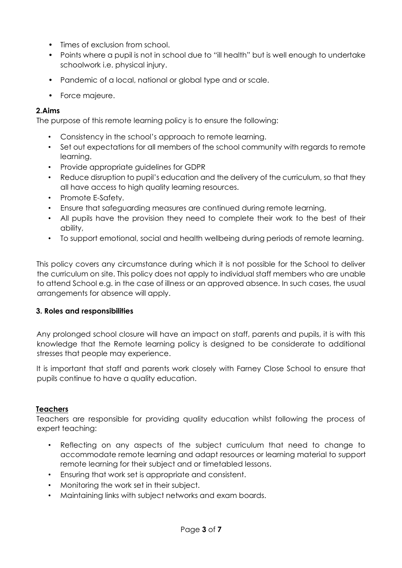- Times of exclusion from school.
- Points where a pupil is not in school due to "ill health" but is well enough to undertake schoolwork i.e. physical injury.
- Pandemic of a local, national or global type and or scale.
- Force majeure.

#### **2.Aims**

The purpose of this remote learning policy is to ensure the following:

- Consistency in the school's approach to remote learning.
- Set out expectations for all members of the school community with regards to remote learning.
- Provide appropriate guidelines for GDPR
- Reduce disruption to pupil's education and the delivery of the curriculum, so that they all have access to high quality learning resources.
- Promote E-Safety.
- Ensure that safeguarding measures are continued during remote learning.
- All pupils have the provision they need to complete their work to the best of their ability,
- To support emotional, social and health wellbeing during periods of remote learning.

This policy covers any circumstance during which it is not possible for the School to deliver the curriculum on site. This policy does not apply to individual staff members who are unable to attend School e.g. in the case of illness or an approved absence. In such cases, the usual arrangements for absence will apply.

#### **3. Roles and responsibilities**

Any prolonged school closure will have an impact on staff, parents and pupils, it is with this knowledge that the Remote learning policy is designed to be considerate to additional stresses that people may experience.

It is important that staff and parents work closely with Farney Close School to ensure that pupils continue to have a quality education.

#### **Teachers**

Teachers are responsible for providing quality education whilst following the process of expert teaching:

- Reflecting on any aspects of the subject curriculum that need to change to accommodate remote learning and adapt resources or learning material to support remote learning for their subject and or timetabled lessons.
- Ensuring that work set is appropriate and consistent.
- Monitoring the work set in their subject.
- Maintaining links with subject networks and exam boards.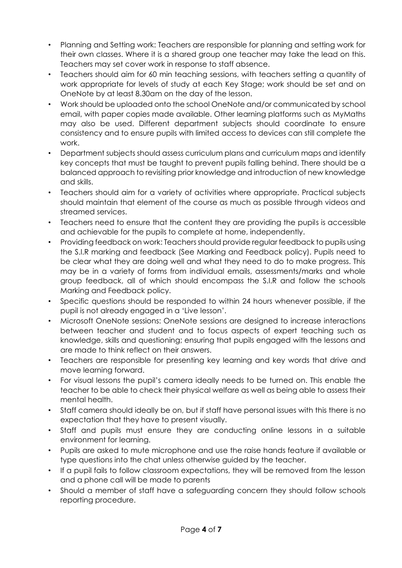- Planning and Setting work: Teachers are responsible for planning and setting work for their own classes. Where it is a shared group one teacher may take the lead on this. Teachers may set cover work in response to staff absence.
- Teachers should aim for 60 min teaching sessions, with teachers setting a quantity of work appropriate for levels of study at each Key Stage; work should be set and on OneNote by at least 8.30am on the day of the lesson.
- Work should be uploaded onto the school OneNote and/or communicated by school email, with paper copies made available. Other learning platforms such as MyMaths may also be used. Different department subjects should coordinate to ensure consistency and to ensure pupils with limited access to devices can still complete the work.
- Department subjects should assess curriculum plans and curriculum maps and identify key concepts that must be taught to prevent pupils falling behind. There should be a balanced approach to revisiting prior knowledge and introduction of new knowledge and skills.
- Teachers should aim for a variety of activities where appropriate. Practical subjects should maintain that element of the course as much as possible through videos and streamed services.
- Teachers need to ensure that the content they are providing the pupils is accessible and achievable for the pupils to complete at home, independently.
- Providing feedback on work: Teachers should provide regular feedback to pupils using the S.I.R marking and feedback (See Marking and Feedback policy). Pupils need to be clear what they are doing well and what they need to do to make progress. This may be in a variety of forms from individual emails, assessments/marks and whole group feedback, all of which should encompass the S.I.R and follow the schools Marking and Feedback policy.
- Specific questions should be responded to within 24 hours whenever possible, if the pupil is not already engaged in a 'Live lesson'.
- Microsoft OneNote sessions: OneNote sessions are designed to increase interactions between teacher and student and to focus aspects of expert teaching such as knowledge, skills and questioning; ensuring that pupils engaged with the lessons and are made to think reflect on their answers.
- Teachers are responsible for presenting key learning and key words that drive and move learning forward.
- For visual lessons the pupil's camera ideally needs to be turned on. This enable the teacher to be able to check their physical welfare as well as being able to assess their mental health.
- Staff camera should ideally be on, but if staff have personal issues with this there is no expectation that they have to present visually.
- Staff and pupils must ensure they are conducting online lessons in a suitable environment for learning.
- Pupils are asked to mute microphone and use the raise hands feature if available or type questions into the chat unless otherwise guided by the teacher.
- If a pupil fails to follow classroom expectations, they will be removed from the lesson and a phone call will be made to parents
- Should a member of staff have a safeguarding concern they should follow schools reporting procedure.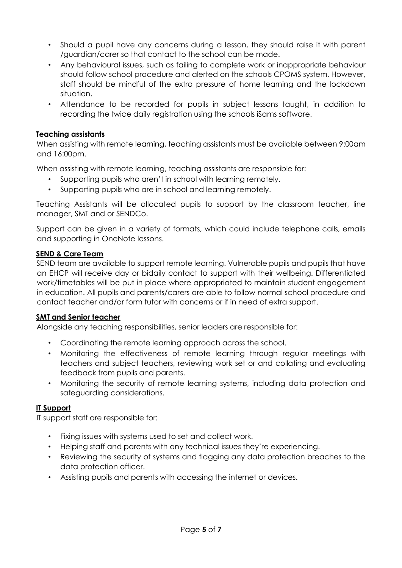- Should a pupil have any concerns during a lesson, they should raise it with parent /guardian/carer so that contact to the school can be made.
- Any behavioural issues, such as failing to complete work or inappropriate behaviour should follow school procedure and alerted on the schools CPOMS system. However, staff should be mindful of the extra pressure of home learning and the lockdown situation.
- Attendance to be recorded for pupils in subject lessons taught, in addition to recording the twice daily registration using the schools iSams software.

#### **Teaching assistants**

When assisting with remote learning, teaching assistants must be available between 9:00am and 16:00pm.

When assisting with remote learning, teaching assistants are responsible for:

- Supporting pupils who aren't in school with learning remotely.
- Supporting pupils who are in school and learning remotely.

Teaching Assistants will be allocated pupils to support by the classroom teacher, line manager, SMT and or SENDCo.

Support can be given in a variety of formats, which could include telephone calls, emails and supporting in OneNote lessons.

#### **SEND & Care Team**

SEND team are available to support remote learning. Vulnerable pupils and pupils that have an EHCP will receive day or bidaily contact to support with their wellbeing. Differentiated work/timetables will be put in place where appropriated to maintain student engagement in education. All pupils and parents/carers are able to follow normal school procedure and contact teacher and/or form tutor with concerns or if in need of extra support.

#### **SMT and Senior teacher**

Alongside any teaching responsibilities, senior leaders are responsible for:

- Coordinating the remote learning approach across the school.
- Monitoring the effectiveness of remote learning through regular meetings with teachers and subject teachers, reviewing work set or and collating and evaluating feedback from pupils and parents.
- Monitoring the security of remote learning systems, including data protection and safeguarding considerations.

#### **IT Support**

IT support staff are responsible for:

- Fixing issues with systems used to set and collect work.
- Helping staff and parents with any technical issues they're experiencing.
- Reviewing the security of systems and flagging any data protection breaches to the data protection officer.
- Assisting pupils and parents with accessing the internet or devices.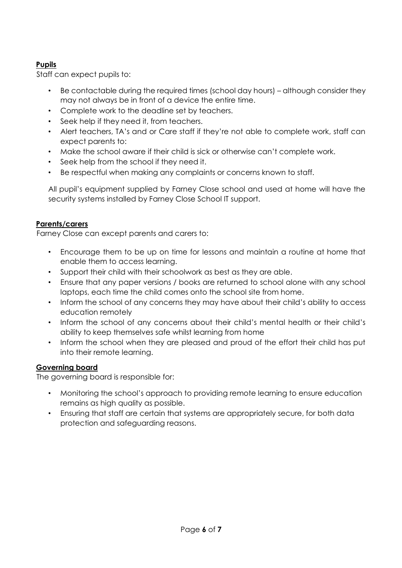### **Pupils**

Staff can expect pupils to:

- Be contactable during the required times (school day hours) although consider they may not always be in front of a device the entire time.
- Complete work to the deadline set by teachers.
- Seek help if they need it, from teachers.
- Alert teachers, TA's and or Care staff if they're not able to complete work, staff can expect parents to:
- Make the school aware if their child is sick or otherwise can't complete work.
- Seek help from the school if they need it.
- Be respectful when making any complaints or concerns known to staff.

All pupil's equipment supplied by Farney Close school and used at home will have the security systems installed by Farney Close School IT support.

#### **Parents/carers**

Farney Close can except parents and carers to:

- Encourage them to be up on time for lessons and maintain a routine at home that enable them to access learning.
- Support their child with their schoolwork as best as they are able.
- Ensure that any paper versions / books are returned to school alone with any school laptops, each time the child comes onto the school site from home.
- Inform the school of any concerns they may have about their child's ability to access education remotely
- Inform the school of any concerns about their child's mental health or their child's ability to keep themselves safe whilst learning from home
- Inform the school when they are pleased and proud of the effort their child has put into their remote learning.

#### **Governing board**

The governing board is responsible for:

- Monitoring the school's approach to providing remote learning to ensure education remains as high quality as possible.
- Ensuring that staff are certain that systems are appropriately secure, for both data protection and safeguarding reasons.